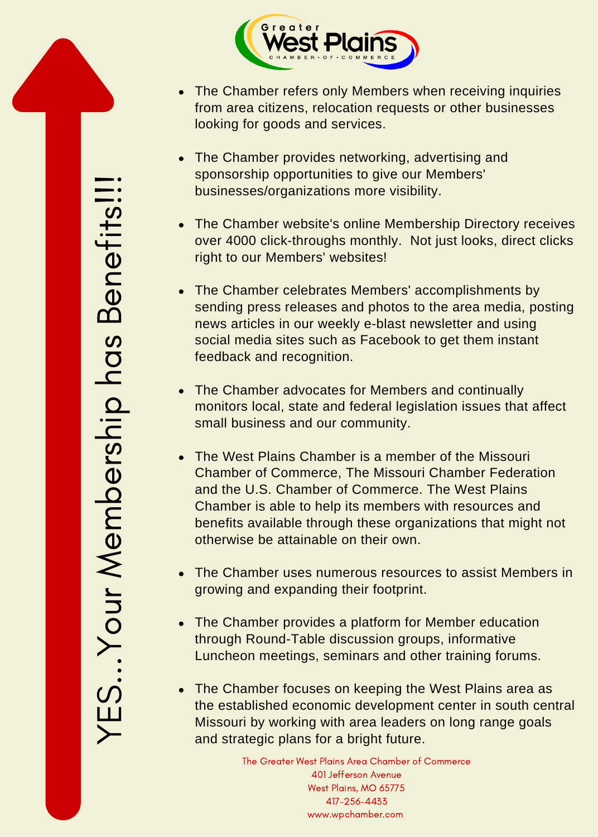

- The Chamber refers only Members when receiving inquiries from area citizens, relocation requests or other businesses looking for goods and services.
- The Chamber provides networking, advertising and sponsorship opportunities to give our Members' businesses/organizations more visibility.
- The Chamber website's online Membership Directory receives over 4000 click-throughs monthly. Not just looks, direct clicks right to our Members' websites!
- The Chamber celebrates Members' accomplishments by sending press releases and photos to the area media, posting news articles in our weekly e-blast newsletter and using social media sites such as Facebook to get them instant feedback and recognition.
- The Chamber advocates for Members and continually monitors local, state and federal legislation issues that affect small business and our community.
- The West Plains Chamber is a member of the Missouri Chamber of Commerce, The Missouri Chamber Federation and the U.S. Chamber of Commerce. The West Plains Chamber is able to help its members with resources and benefits available through these organizations that might not otherwise be attainable on their own.
- The Chamber uses numerous resources to assist Members in growing and expanding their footprint.
- The Chamber provides a platform for Member education through Round-Table discussion groups, informative Luncheon meetings, seminars and other training forums.
- The Chamber focuses on keeping the West Plains area as the established economic development center in south central Missouri by working with area leaders on long range goals and strategic plans for a bright future.

The Greater West Plains Area Chamber of Commerce 401 Jefferson Avenue West Plains, MO 65775 417-256-4433 www.wpchamber.com

 $\succ$ E $\sum\limits_{\mathbf{S}}$ oا<br>ا  $\bf\lesssim$  $\mathsf \Phi$  $\in$  $\Delta$ ers $\frac{\mathsf{p}}{\mathsf{p}}$  $\overline{\phantom{a}}$  $\mathbf \sigma$ sമ്മ  $\mathsf 0$  $\mathbf \Omega$  $\mathsf 0$ fit s!!!